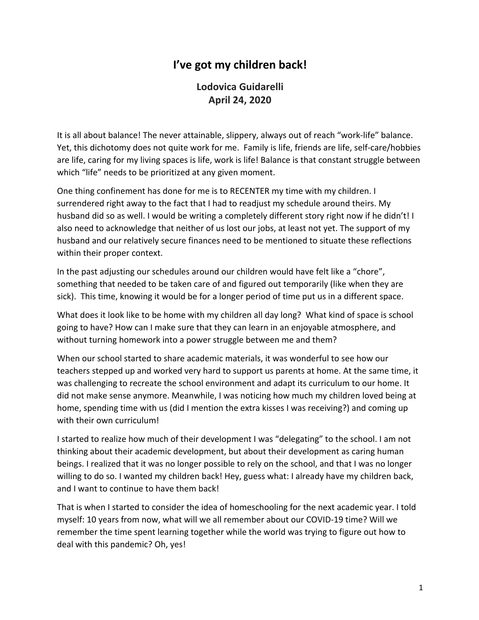## **I've got my children back!**

**Lodovica Guidarelli April 24, 2020**

It is all about balance! The never attainable, slippery, always out of reach "work-life" balance. Yet, this dichotomy does not quite work for me. Family is life, friends are life, self-care/hobbies are life, caring for my living spaces is life, work is life! Balance is that constant struggle between which "life" needs to be prioritized at any given moment.

One thing confinement has done for me is to RECENTER my time with my children. I surrendered right away to the fact that I had to readjust my schedule around theirs. My husband did so as well. I would be writing a completely different story right now if he didn't! I also need to acknowledge that neither of us lost our jobs, at least not yet. The support of my husband and our relatively secure finances need to be mentioned to situate these reflections within their proper context.

In the past adjusting our schedules around our children would have felt like a "chore", something that needed to be taken care of and figured out temporarily (like when they are sick). This time, knowing it would be for a longer period of time put us in a different space.

What does it look like to be home with my children all day long? What kind of space is school going to have? How can I make sure that they can learn in an enjoyable atmosphere, and without turning homework into a power struggle between me and them?

When our school started to share academic materials, it was wonderful to see how our teachers stepped up and worked very hard to support us parents at home. At the same time, it was challenging to recreate the school environment and adapt its curriculum to our home. It did not make sense anymore. Meanwhile, I was noticing how much my children loved being at home, spending time with us (did I mention the extra kisses I was receiving?) and coming up with their own curriculum!

I started to realize how much of their development I was "delegating" to the school. I am not thinking about their academic development, but about their development as caring human beings. I realized that it was no longer possible to rely on the school, and that I was no longer willing to do so. I wanted my children back! Hey, guess what: I already have my children back, and I want to continue to have them back!

That is when I started to consider the idea of homeschooling for the next academic year. I told myself: 10 years from now, what will we all remember about our COVID-19 time? Will we remember the time spent learning together while the world was trying to figure out how to deal with this pandemic? Oh, yes!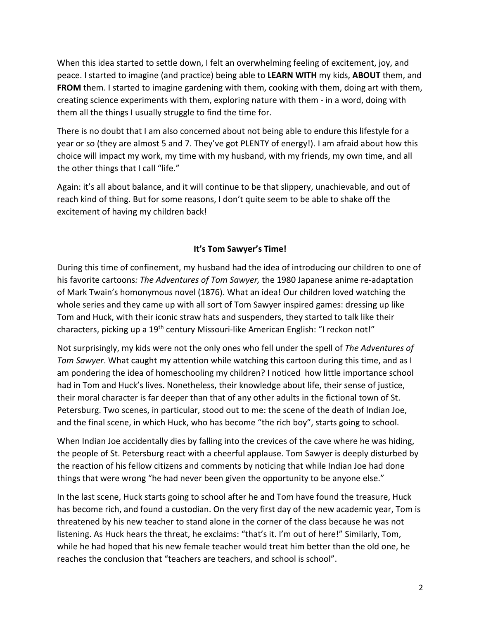When this idea started to settle down, I felt an overwhelming feeling of excitement, joy, and peace. I started to imagine (and practice) being able to **LEARN WITH** my kids, **ABOUT** them, and **FROM** them. I started to imagine gardening with them, cooking with them, doing art with them, creating science experiments with them, exploring nature with them - in a word, doing with them all the things I usually struggle to find the time for.

There is no doubt that I am also concerned about not being able to endure this lifestyle for a year or so (they are almost 5 and 7. They've got PLENTY of energy!). I am afraid about how this choice will impact my work, my time with my husband, with my friends, my own time, and all the other things that I call "life."

Again: it's all about balance, and it will continue to be that slippery, unachievable, and out of reach kind of thing. But for some reasons, I don't quite seem to be able to shake off the excitement of having my children back!

## **It's Tom Sawyer's Time!**

During this time of confinement, my husband had the idea of introducing our children to one of his favorite cartoons*: The Adventures of Tom Sawyer,* the 1980 Japanese anime re-adaptation of Mark Twain's homonymous novel (1876). What an idea! Our children loved watching the whole series and they came up with all sort of Tom Sawyer inspired games: dressing up like Tom and Huck, with their iconic straw hats and suspenders, they started to talk like their characters, picking up a 19th century Missouri-like American English: "I reckon not!"

Not surprisingly, my kids were not the only ones who fell under the spell of *The Adventures of Tom Sawyer*. What caught my attention while watching this cartoon during this time, and as I am pondering the idea of homeschooling my children? I noticed how little importance school had in Tom and Huck's lives. Nonetheless, their knowledge about life, their sense of justice, their moral character is far deeper than that of any other adults in the fictional town of St. Petersburg. Two scenes, in particular, stood out to me: the scene of the death of Indian Joe, and the final scene, in which Huck, who has become "the rich boy", starts going to school.

When Indian Joe accidentally dies by falling into the crevices of the cave where he was hiding, the people of St. Petersburg react with a cheerful applause. Tom Sawyer is deeply disturbed by the reaction of his fellow citizens and comments by noticing that while Indian Joe had done things that were wrong "he had never been given the opportunity to be anyone else."

In the last scene, Huck starts going to school after he and Tom have found the treasure, Huck has become rich, and found a custodian. On the very first day of the new academic year, Tom is threatened by his new teacher to stand alone in the corner of the class because he was not listening. As Huck hears the threat, he exclaims: "that's it. I'm out of here!" Similarly, Tom, while he had hoped that his new female teacher would treat him better than the old one, he reaches the conclusion that "teachers are teachers, and school is school".